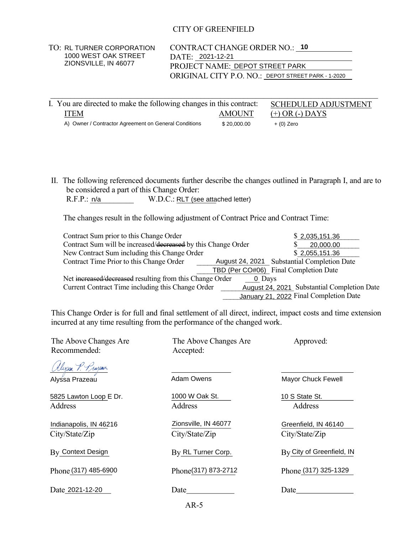## CITY OF GREENFIELD

| I. You are directed to make the following changes in this contract: |               | <b>SCHEDULED ADJUSTMENT</b> |  |
|---------------------------------------------------------------------|---------------|-----------------------------|--|
| ITEM                                                                | <b>AMOUNT</b> | $(+)$ OR $(-)$ DAYS         |  |
| A) Owner / Contractor Agreement on General Conditions               | \$20,000,00   | $+$ (0) Zero                |  |

| R.F.P.: n/a |  |                                   |
|-------------|--|-----------------------------------|
|             |  | W.D.C.: RLT (see attached letter) |

| <b>TO: RL TURNER CORPORATION</b>                                                                            |                                   | <b>CONTRACT CHANGE ORDER NO.: 10</b> |                                                                                               |  |
|-------------------------------------------------------------------------------------------------------------|-----------------------------------|--------------------------------------|-----------------------------------------------------------------------------------------------|--|
| 1000 WEST OAK STREET                                                                                        | DATE: 2021-12-21                  |                                      |                                                                                               |  |
| ZIONSVILLE, IN 46077                                                                                        |                                   | PROJECT NAME: DEPOT STREET PARK      |                                                                                               |  |
|                                                                                                             |                                   |                                      | ORIGINAL CITY P.O. NO.: DEPOT STREET PARK - 1-2020                                            |  |
|                                                                                                             |                                   |                                      |                                                                                               |  |
|                                                                                                             |                                   |                                      |                                                                                               |  |
| . You are directed to make the following changes in this contract:                                          |                                   |                                      | SCHEDULED ADJUSTMENT                                                                          |  |
| <b>ITEM</b>                                                                                                 |                                   | <b>AMOUNT</b>                        | $(+)$ OR $(-)$ DAYS                                                                           |  |
| A) Owner / Contractor Agreement on General Conditions                                                       |                                   | \$20,000.00                          | $+$ (0) Zero                                                                                  |  |
|                                                                                                             |                                   |                                      |                                                                                               |  |
|                                                                                                             |                                   |                                      |                                                                                               |  |
|                                                                                                             |                                   |                                      |                                                                                               |  |
|                                                                                                             |                                   |                                      |                                                                                               |  |
|                                                                                                             |                                   |                                      |                                                                                               |  |
|                                                                                                             |                                   |                                      |                                                                                               |  |
| II. The following referenced documents further describe the changes outlined in Paragraph I, and are to     |                                   |                                      |                                                                                               |  |
| be considered a part of this Change Order:                                                                  |                                   |                                      |                                                                                               |  |
| R.F.P.: n/a                                                                                                 | W.D.C.: RLT (see attached letter) |                                      |                                                                                               |  |
|                                                                                                             |                                   |                                      |                                                                                               |  |
| The changes result in the following adjustment of Contract Price and Contract Time:                         |                                   |                                      |                                                                                               |  |
|                                                                                                             |                                   |                                      |                                                                                               |  |
| Contract Sum prior to this Change Order                                                                     |                                   |                                      | \$2,035,151.36                                                                                |  |
| Contract Sum will be increased/decreased by this Change Order                                               |                                   |                                      | 20,000.00<br>S                                                                                |  |
| New Contract Sum including this Change Order                                                                |                                   |                                      | \$2,055,151.36                                                                                |  |
| Contract Time Prior to this Change Order                                                                    |                                   |                                      | August 24, 2021 Substantial Completion Date                                                   |  |
|                                                                                                             |                                   |                                      | TBD (Per CO#06) Final Completion Date                                                         |  |
| Net increased/decreased resulting from this Change Order                                                    |                                   | 0 Days                               |                                                                                               |  |
|                                                                                                             |                                   |                                      | Current Contract Time including this Change Order August 24, 2021 Substantial Completion Date |  |
|                                                                                                             |                                   |                                      | January 21, 2022 Final Completion Date                                                        |  |
|                                                                                                             |                                   |                                      |                                                                                               |  |
| This Change Order is for full and final settlement of all direct, indirect, impact costs and time extension |                                   |                                      |                                                                                               |  |
| incurred at any time resulting from the performance of the changed work.                                    |                                   |                                      |                                                                                               |  |
|                                                                                                             |                                   |                                      |                                                                                               |  |
| The Above Changes Are                                                                                       |                                   | The Above Changes Are                | Approved:                                                                                     |  |
| Recommended:                                                                                                | Accepted:                         |                                      |                                                                                               |  |

| The Above Changes Are<br>Recommended:       | The Above Changes Are<br>Accepted:     | Approved:                              |
|---------------------------------------------|----------------------------------------|----------------------------------------|
| <u> Ollyson P. Prajan</u><br>Alyssa Prazeau | <b>Adam Owens</b>                      | <b>Mayor Chuck Fewell</b>              |
| 5825 Lawton Loop E Dr.<br>Address           | 1000 W Oak St.<br>Address              | 10 S State St.<br>Address              |
| Indianapolis, IN 46216<br>City/State/Zip    | Zionsville, IN 46077<br>City/State/Zip | Greenfield, IN 46140<br>City/State/Zip |
| By Context Design                           | By RL Turner Corp.                     | By City of Greenfield, IN              |
| Phone (317) 485-6900                        | Phone(317) 873-2712                    | Phone (317) 325-1329                   |
| Date 2021-12-20                             | Date                                   | Date                                   |